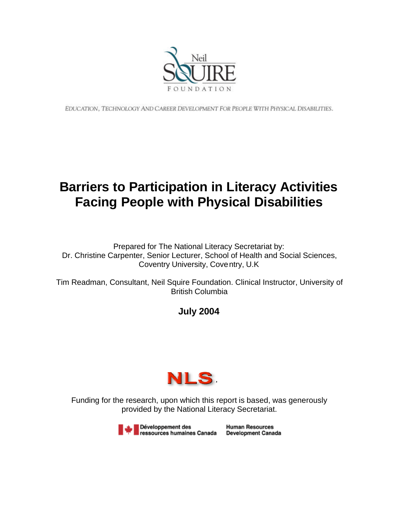

EDUCATION, TECHNOLOGY AND CAREER DEVELOPMENT FOR PEOPLE WITH PHYSICAL DISABILITIES.

# **Barriers to Participation in Literacy Activities Facing People with Physical Disabilities**

Prepared for The National Literacy Secretariat by: Dr. Christine Carpenter, Senior Lecturer, School of Health and Social Sciences, Coventry University, Coventry, U.K

Tim Readman, Consultant, Neil Squire Foundation. Clinical Instructor, University of British Columbia

## **July 2004**



Funding for the research, upon which this report is based, was generously provided by the National Literacy Secretariat.

> Développement des ressources humaines Canada

**Human Resources Development Canada**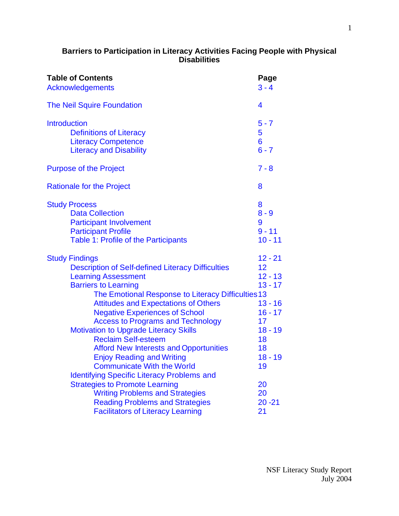#### **Barriers to Participation in Literacy Activities Facing People with Physical Disabilities**

| <b>Table of Contents</b><br>Acknowledgements                                                                                                                                                                                                                                                                                                                                                                                                                                                                                                                                                          | Page<br>$3 - 4$                                                                                                       |  |  |
|-------------------------------------------------------------------------------------------------------------------------------------------------------------------------------------------------------------------------------------------------------------------------------------------------------------------------------------------------------------------------------------------------------------------------------------------------------------------------------------------------------------------------------------------------------------------------------------------------------|-----------------------------------------------------------------------------------------------------------------------|--|--|
| <b>The Neil Squire Foundation</b>                                                                                                                                                                                                                                                                                                                                                                                                                                                                                                                                                                     | 4                                                                                                                     |  |  |
| <b>Introduction</b><br><b>Definitions of Literacy</b><br><b>Literacy Competence</b><br><b>Literacy and Disability</b>                                                                                                                                                                                                                                                                                                                                                                                                                                                                                 |                                                                                                                       |  |  |
| <b>Purpose of the Project</b>                                                                                                                                                                                                                                                                                                                                                                                                                                                                                                                                                                         | $7 - 8$                                                                                                               |  |  |
| <b>Rationale for the Project</b>                                                                                                                                                                                                                                                                                                                                                                                                                                                                                                                                                                      | 8                                                                                                                     |  |  |
| <b>Study Process</b><br><b>Data Collection</b><br><b>Participant Involvement</b><br><b>Participant Profile</b><br>Table 1: Profile of the Participants                                                                                                                                                                                                                                                                                                                                                                                                                                                | 8<br>$8 - 9$<br>9<br>$9 - 11$<br>$10 - 11$                                                                            |  |  |
| <b>Study Findings</b><br><b>Description of Self-defined Literacy Difficulties</b><br><b>Learning Assessment</b><br><b>Barriers to Learning</b><br>The Emotional Response to Literacy Difficulties 13<br><b>Attitudes and Expectations of Others</b><br><b>Negative Experiences of School</b><br><b>Access to Programs and Technology</b><br><b>Motivation to Upgrade Literacy Skills</b><br><b>Reclaim Self-esteem</b><br><b>Afford New Interests and Opportunities</b><br><b>Enjoy Reading and Writing</b><br><b>Communicate With the World</b><br><b>Identifying Specific Literacy Problems and</b> | $12 - 21$<br>12<br>$12 - 13$<br>$13 - 17$<br>$13 - 16$<br>$16 - 17$<br>17<br>$18 - 19$<br>18<br>18<br>$18 - 19$<br>19 |  |  |
| <b>Strategies to Promote Learning</b><br><b>Writing Problems and Strategies</b><br><b>Reading Problems and Strategies</b><br><b>Facilitators of Literacy Learning</b>                                                                                                                                                                                                                                                                                                                                                                                                                                 | 20<br>20<br>$20 - 21$<br>21                                                                                           |  |  |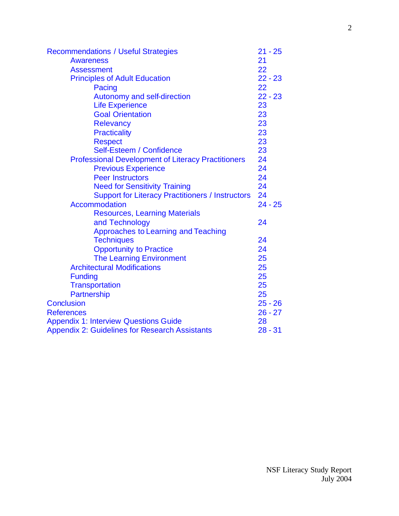<span id="page-2-0"></span>

| <b>Recommendations / Useful Strategies</b>                |           |  |  |  |
|-----------------------------------------------------------|-----------|--|--|--|
| <b>Awareness</b>                                          |           |  |  |  |
| <b>Assessment</b>                                         |           |  |  |  |
| <b>Principles of Adult Education</b>                      | $22 - 23$ |  |  |  |
| Pacing                                                    | 22        |  |  |  |
| Autonomy and self-direction                               | $22 - 23$ |  |  |  |
| <b>Life Experience</b>                                    | 23        |  |  |  |
| <b>Goal Orientation</b>                                   | 23        |  |  |  |
| <b>Relevancy</b>                                          | 23        |  |  |  |
| <b>Practicality</b>                                       | 23        |  |  |  |
| <b>Respect</b>                                            | 23        |  |  |  |
| Self-Esteem / Confidence                                  | 23        |  |  |  |
| <b>Professional Development of Literacy Practitioners</b> | 24        |  |  |  |
| <b>Previous Experience</b>                                | 24        |  |  |  |
| <b>Peer Instructors</b>                                   | 24        |  |  |  |
| <b>Need for Sensitivity Training</b>                      | 24        |  |  |  |
| <b>Support for Literacy Practitioners / Instructors</b>   | 24        |  |  |  |
| Accommodation                                             | $24 - 25$ |  |  |  |
| <b>Resources, Learning Materials</b>                      |           |  |  |  |
| and Technology                                            | 24        |  |  |  |
| Approaches to Learning and Teaching                       |           |  |  |  |
| <b>Techniques</b>                                         | 24        |  |  |  |
| <b>Opportunity to Practice</b>                            | 24        |  |  |  |
| <b>The Learning Environment</b>                           | 25        |  |  |  |
| <b>Architectural Modifications</b>                        | 25        |  |  |  |
| <b>Funding</b>                                            | 25        |  |  |  |
| <b>Transportation</b>                                     | 25        |  |  |  |
| Partnership                                               | 25        |  |  |  |
| <b>Conclusion</b>                                         |           |  |  |  |
| <b>References</b>                                         |           |  |  |  |
| <b>Appendix 1: Interview Questions Guide</b>              |           |  |  |  |
| <b>Appendix 2: Guidelines for Research Assistants</b>     |           |  |  |  |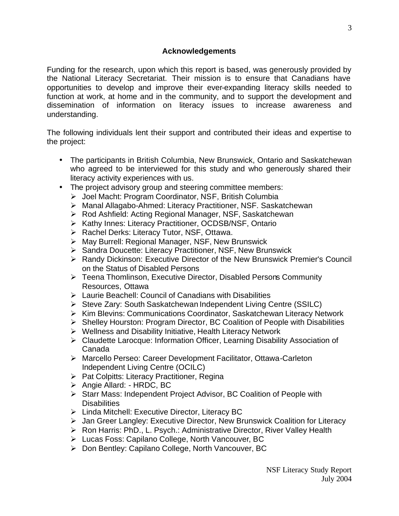#### **Acknowledgements**

Funding for the research, upon which this report is based, was generously provided by the National Literacy Secretariat. Their mission is to ensure that Canadians have opportunities to develop and improve their ever-expanding literacy skills needed to function at work, at home and in the community, and to support the development and dissemination of information on literacy issues to increase awareness and understanding.

The following individuals lent their support and contributed their ideas and expertise to the project:

- The participants in British Columbia, New Brunswick, Ontario and Saskatchewan who agreed to be interviewed for this study and who generously shared their literacy activity experiences with us.
- The project advisory group and steering committee members:
	- ÿ Joel Macht: Program Coordinator, NSF, British Columbia
	- ÿ Manal Allagabo-Ahmed: Literacy Practitioner, NSF. Saskatchewan
	- ÿ Rod Ashfield: Acting Regional Manager, NSF, Saskatchewan
	- ▶ Kathy Innes: Literacy Practitioner, OCDSB/NSF, Ontario
	- $\triangleright$  Rachel Derks: Literacy Tutor, NSF, Ottawa.
	- $\triangleright$  May Burrell: Regional Manager, NSF, New Brunswick
	- ▶ Sandra Doucette: Literacy Practitioner, NSF, New Brunswick
	- ÿ Randy Dickinson: Executive Director of the New Brunswick Premier's Council on the Status of Disabled Persons
	- $\triangleright$  Teena Thomlinson, Executive Director, Disabled Persons Community Resources, Ottawa
	- $\triangleright$  Laurie Beachell: Council of Canadians with Disabilities
	- ÿ Steve Zary: South Saskatchewan Independent Living Centre (SSILC)
	- ÿ Kim Blevins: Communications Coordinator, Saskatchewan Literacy Network
	- $\triangleright$  Shelley Hourston: Program Director, BC Coalition of People with Disabilities
	- $\triangleright$  Wellness and Disability Initiative, Health Literacy Network
	- ▶ Claudette Larocque: Information Officer, Learning Disability Association of Canada
	- ▶ Marcello Perseo: Career Development Facilitator, Ottawa-Carleton Independent Living Centre (OCILC)
	- $\triangleright$  Pat Colpitts: Literacy Practitioner, Regina
	- $\triangleright$  Angie Allard: HRDC, BC
	- ÿ Starr Mass: Independent Project Advisor, BC Coalition of People with **Disabilities**
	- $\triangleright$  Linda Mitchell: Executive Director, Literacy BC
	- $\triangleright$  Jan Greer Langley: Executive Director, New Brunswick Coalition for Literacy
	- ▶ Ron Harris: PhD., L. Psych.: Administrative Director, River Valley Health
	- ÿ Lucas Foss: Capilano College, North Vancouver, BC
	- ÿ Don Bentley: Capilano College, North Vancouver, BC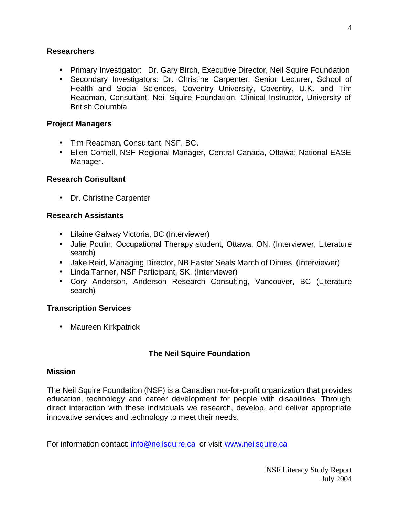#### <span id="page-4-0"></span>**Researchers**

- Primary Investigator: Dr. Gary Birch, Executive Director, Neil Squire Foundation
- Secondary Investigators: Dr. Christine Carpenter, Senior Lecturer, School of Health and Social Sciences, Coventry University, Coventry, U.K. and Tim Readman, Consultant, Neil Squire Foundation. Clinical Instructor, University of British Columbia

## **Project Managers**

- Tim Readman, Consultant, NSF, BC.
- Ellen Cornell, NSF Regional Manager, Central Canada, Ottawa; National EASE Manager.

## **Research Consultant**

• Dr. Christine Carpenter

#### **Research Assistants**

- Lilaine Galway Victoria, BC (Interviewer)
- Julie Poulin, Occupational Therapy student, Ottawa, ON, (Interviewer, Literature search)
- Jake Reid, Managing Director, NB Easter Seals March of Dimes, (Interviewer)
- Linda Tanner, NSF Participant, SK. (Interviewer)
- Cory Anderson, Anderson Research Consulting, Vancouver, BC (Literature search)

## **Transcription Services**

• Maureen Kirkpatrick

## **The Neil Squire Foundation**

#### **Mission**

The Neil Squire Foundation (NSF) is a Canadian not-for-profit organization that provides education, technology and career development for people with disabilities. Through direct interaction with these individuals we research, develop, and deliver appropriate innovative services and technology to meet their needs.

For information contact: [info@neilsquire.ca](mailto:info@neilsquire.ca) or visit [www.neilsquire.ca](http://www.neilsquire.ca)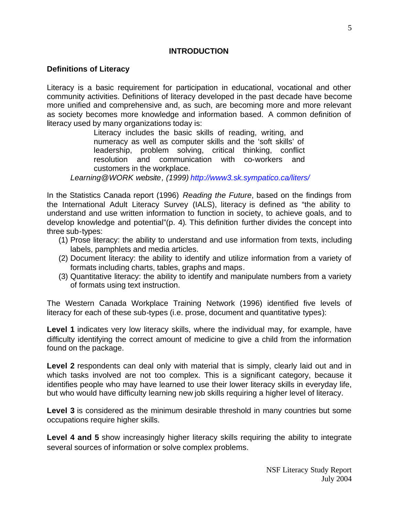## **INTRODUCTION**

#### <span id="page-5-0"></span>**Definitions of Literacy**

Literacy is a basic requirement for participation in educational, vocational and other community activities. Definitions of literacy developed in the past decade have become more unified and comprehensive and, as such, are becoming more and more relevant as society becomes more knowledge and information based. A common definition of literacy used by many organizations today is:

> Literacy includes the basic skills of reading, writing, and numeracy as well as computer skills and the 'soft skills' of leadership, problem solving, critical thinking, conflict resolution and communication with co-workers and customers in the workplace.

*Learning@WORK website, (1999) <http://www3.sk.sympatico.ca/liters/>*

In the Statistics Canada report (1996) *Reading the Future*, based on the findings from the International Adult Literacy Survey (IALS), literacy is defined as "the ability to understand and use written information to function in society, to achieve goals, and to develop knowledge and potential"(p. 4). This definition further divides the concept into three sub-types:

- (1) Prose literacy: the ability to understand and use information from texts, including labels, pamphlets and media articles.
- (2) Document literacy: the ability to identify and utilize information from a variety of formats including charts, tables, graphs and maps.
- (3) Quantitative literacy: the ability to identify and manipulate numbers from a variety of formats using text instruction.

The Western Canada Workplace Training Network (1996) identified five levels of literacy for each of these sub-types (i.e. prose, document and quantitative types):

Level 1 indicates very low literacy skills, where the individual may, for example, have difficulty identifying the correct amount of medicine to give a child from the information found on the package.

**Level 2** respondents can deal only with material that is simply, clearly laid out and in which tasks involved are not too complex. This is a significant category, because it identifies people who may have learned to use their lower literacy skills in everyday life, but who would have difficulty learning new job skills requiring a higher level of literacy.

**Level 3** is considered as the minimum desirable threshold in many countries but some occupations require higher skills.

**Level 4 and 5** show increasingly higher literacy skills requiring the ability to integrate several sources of information or solve complex problems.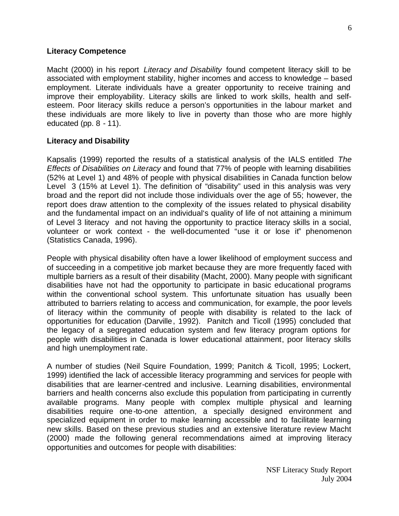#### <span id="page-6-0"></span>**Literacy Competence**

Macht (2000) in his report *Literacy and Disability* found competent literacy skill to be associated with employment stability, higher incomes and access to knowledge – based employment. Literate individuals have a greater opportunity to receive training and improve their employability. Literacy skills are linked to work skills, health and selfesteem. Poor literacy skills reduce a person's opportunities in the labour market and these individuals are more likely to live in poverty than those who are more highly educated (pp. 8 - 11).

#### **Literacy and Disability**

Kapsalis (1999) reported the results of a statistical analysis of the IALS entitled *The Effects of Disabilities on Literacy* and found that 77% of people with learning disabilities (52% at Level 1) and 48% of people with physical disabilities in Canada function below Level 3 (15% at Level 1). The definition of "disability" used in this analysis was very broad and the report did not include those individuals over the age of 55; however, the report does draw attention to the complexity of the issues related to physical disability and the fundamental impact on an individual's quality of life of not attaining a minimum of Level 3 literacy and not having the opportunity to practice literacy skills in a social, volunteer or work context - the well-documented "use it or lose it" phenomenon (Statistics Canada, 1996).

People with physical disability often have a lower likelihood of employment success and of succeeding in a competitive job market because they are more frequently faced with multiple barriers as a result of their disability (Macht, 2000). Many people with significant disabilities have not had the opportunity to participate in basic educational programs within the conventional school system. This unfortunate situation has usually been attributed to barriers relating to access and communication, for example, the poor levels of literacy within the community of people with disability is related to the lack of opportunities for education (Darville, 1992). Panitch and Ticoll (1995) concluded that the legacy of a segregated education system and few literacy program options for people with disabilities in Canada is lower educational attainment, poor literacy skills and high unemployment rate.

A number of studies (Neil Squire Foundation, 1999; Panitch & Ticoll, 1995; Lockert, 1999) identified the lack of accessible literacy programming and services for people with disabilities that are learner-centred and inclusive. Learning disabilities, environmental barriers and health concerns also exclude this population from participating in currently available programs. Many people with complex multiple physical and learning disabilities require one-to-one attention, a specially designed environment and specialized equipment in order to make learning accessible and to facilitate learning new skills. Based on these previous studies and an extensive literature review Macht (2000) made the following general recommendations aimed at improving literacy opportunities and outcomes for people with disabilities: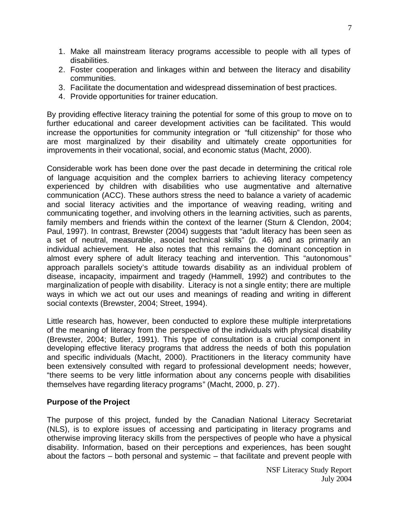- <span id="page-7-0"></span>1. Make all mainstream literacy programs accessible to people with all types of disabilities.
- 2. Foster cooperation and linkages within and between the literacy and disability communities.
- 3. Facilitate the documentation and widespread dissemination of best practices.
- 4. Provide opportunities for trainer education.

By providing effective literacy training the potential for some of this group to move on to further educational and career development activities can be facilitated. This would increase the opportunities for community integration or "full citizenship" for those who are most marginalized by their disability and ultimately create opportunities for improvements in their vocational, social, and economic status (Macht, 2000).

Considerable work has been done over the past decade in determining the critical role of language acquisition and the complex barriers to achieving literacy competency experienced by children with disabilities who use augmentative and alternative communication (ACC). These authors stress the need to balance a variety of academic and social literacy activities and the importance of weaving reading, writing and communicating together, and involving others in the learning activities, such as parents, family members and friends within the context of the learner (Sturn & Clendon, 2004; Paul, 1997). In contrast, Brewster (2004) suggests that "adult literacy has been seen as a set of neutral, measurable, asocial technical skills" (p. 46) and as primarily an individual achievement. He also notes that this remains the dominant conception in almost every sphere of adult literacy teaching and intervention. This "autonomous" approach parallels society's attitude towards disability as an individual problem of disease, incapacity, impairment and tragedy (Hammell, 1992) and contributes to the marginalization of people with disability. Literacy is not a single entity; there are multiple ways in which we act out our uses and meanings of reading and writing in different social contexts (Brewster, 2004; Street, 1994).

Little research has, however, been conducted to explore these multiple interpretations of the meaning of literacy from the perspective of the individuals with physical disability (Brewster, 2004; Butler, 1991). This type of consultation is a crucial component in developing effective literacy programs that address the needs of both this population and specific individuals (Macht, 2000). Practitioners in the literacy community have been extensively consulted with regard to professional development needs; however, "there seems to be very little information about any concerns people with disabilities themselves have regarding literacy programs" (Macht, 2000, p. 27).

## **Purpose of the Project**

The purpose of this project, funded by the Canadian National Literacy Secretariat (NLS), is to explore issues of accessing and participating in literacy programs and otherwise improving literacy skills from the perspectives of people who have a physical disability. Information, based on their perceptions and experiences, has been sought about the factors – both personal and systemic – that facilitate and prevent people with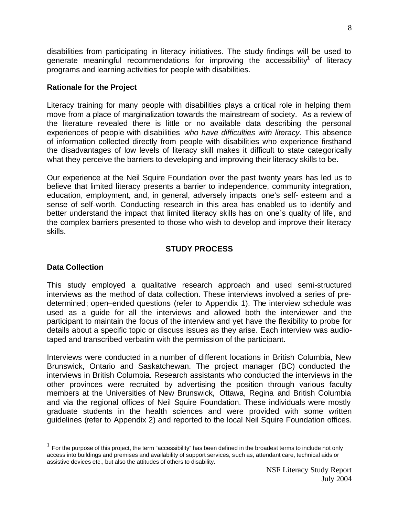<span id="page-8-0"></span>disabilities from participating in literacy initiatives. The study findings will be used to generate meaningful recommendations for improving the accessibility<sup>1</sup> of literacy programs and learning activities for people with disabilities.

#### **Rationale for the Project**

Literacy training for many people with disabilities plays a critical role in helping them move from a place of marginalization towards the mainstream of society. As a review of the literature revealed there is little or no available data describing the personal experiences of people with disabilities *who have difficulties with literacy*. This absence of information collected directly from people with disabilities who experience firsthand the disadvantages of low levels of literacy skill makes it difficult to state categorically what they perceive the barriers to developing and improving their literacy skills to be.

Our experience at the Neil Squire Foundation over the past twenty years has led us to believe that limited literacy presents a barrier to independence, community integration, education, employment, and, in general, adversely impacts one's self- esteem and a sense of self-worth. Conducting research in this area has enabled us to identify and better understand the impact that limited literacy skills has on one's quality of life, and the complex barriers presented to those who wish to develop and improve their literacy skills.

## **STUDY PROCESS**

#### **Data Collection**

 $\overline{a}$ 

This study employed a qualitative research approach and used semi-structured interviews as the method of data collection. These interviews involved a series of predetermined; open–ended questions (refer to Appendix 1). The interview schedule was used as a guide for all the interviews and allowed both the interviewer and the participant to maintain the focus of the interview and yet have the flexibility to probe for details about a specific topic or discuss issues as they arise. Each interview was audiotaped and transcribed verbatim with the permission of the participant.

Interviews were conducted in a number of different locations in British Columbia, New Brunswick, Ontario and Saskatchewan. The project manager (BC) conducted the interviews in British Columbia. Research assistants who conducted the interviews in the other provinces were recruited by advertising the position through various faculty members at the Universities of New Brunswick, Ottawa, Regina and British Columbia and via the regional offices of Neil Squire Foundation. These individuals were mostly graduate students in the health sciences and were provided with some written guidelines (refer to Appendix 2) and reported to the local Neil Squire Foundation offices.

 $1$  For the purpose of this project, the term "accessibility" has been defined in the broadest terms to include not only access into buildings and premises and availability of support services, such as, attendant care, technical aids or assistive devices etc., but also the attitudes of others to disability.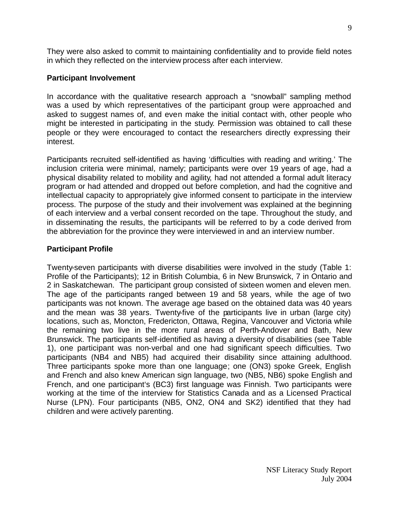<span id="page-9-0"></span>They were also asked to commit to maintaining confidentiality and to provide field notes in which they reflected on the interview process after each interview.

#### **Participant Involvement**

In accordance with the qualitative research approach a "snowball" sampling method was a used by which representatives of the participant group were approached and asked to suggest names of, and even make the initial contact with, other people who might be interested in participating in the study. Permission was obtained to call these people or they were encouraged to contact the researchers directly expressing their interest.

Participants recruited self-identified as having 'difficulties with reading and writing.' The inclusion criteria were minimal, namely; participants were over 19 years of age, had a physical disability related to mobility and agility, had not attended a formal adult literacy program or had attended and dropped out before completion, and had the cognitive and intellectual capacity to appropriately give informed consent to participate in the interview process. The purpose of the study and their involvement was explained at the beginning of each interview and a verbal consent recorded on the tape. Throughout the study, and in disseminating the results, the participants will be referred to by a code derived from the abbreviation for the province they were interviewed in and an interview number.

## **Participant Profile**

Twenty-seven participants with diverse disabilities were involved in the study (Table 1: Profile of the Participants); 12 in British Columbia, 6 in New Brunswick, 7 in Ontario and 2 in Saskatchewan. The participant group consisted of sixteen women and eleven men. The age of the participants ranged between 19 and 58 years, while the age of two participants was not known. The average age based on the obtained data was 40 years and the mean was 38 years. Twenty-five of the participants live in urban (large city) locations, such as, Moncton, Fredericton, Ottawa, Regina, Vancouver and Victoria while the remaining two live in the more rural areas of Perth-Andover and Bath, New Brunswick. The participants self-identified as having a diversity of disabilities (see Table 1), one participant was non-verbal and one had significant speech difficulties. Two participants (NB4 and NB5) had acquired their disability since attaining adulthood. Three participants spoke more than one language; one (ON3) spoke Greek, English and French and also knew American sign language, two (NB5, NB6) spoke English and French, and one participant's (BC3) first language was Finnish. Two participants were working at the time of the interview for Statistics Canada and as a Licensed Practical Nurse (LPN). Four participants (NB5, ON2, ON4 and SK2) identified that they had children and were actively parenting.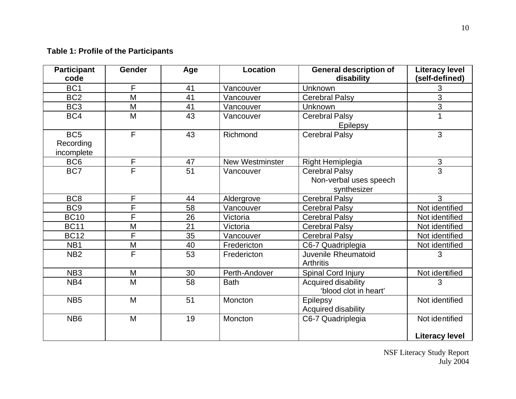## <span id="page-10-0"></span>**Table 1: Profile of the Participants**

| BC <sub>1</sub><br>F<br>3<br>41<br>Vancouver<br>Unknown<br>$\overline{3}$<br>M<br>BC <sub>2</sub><br>41<br><b>Cerebral Palsy</b><br>Vancouver<br>$\overline{3}$<br>BC <sub>3</sub><br>M<br>41<br>Vancouver<br>Unknown<br>$\overline{43}$<br>M<br>BC4<br><b>Cerebral Palsy</b><br>Vancouver<br>Epilepsy<br>$\overline{F}$<br>BC <sub>5</sub><br>43<br>3<br>Richmond<br><b>Cerebral Palsy</b><br>Recording<br>incomplete<br>$\mathsf F$<br>BC <sub>6</sub><br>3<br>47<br><b>New Westminster</b><br>Right Hemiplegia<br>$\overline{\mathsf{F}}$<br>3<br>51<br>BC7<br><b>Cerebral Palsy</b><br>Vancouver<br>Non-verbal uses speech<br>synthesizer<br>BC <sub>8</sub><br>$\mathsf F$<br>3<br>44<br><b>Cerebral Palsy</b><br>Aldergrove<br>$\overline{\mathsf{F}}$<br>BC <sub>9</sub><br>Not identified<br>58<br>Vancouver<br><b>Cerebral Palsy</b><br>F<br><b>BC10</b><br>26<br><b>Cerebral Palsy</b><br>Not identified<br>Victoria<br>21<br>M<br><b>BC11</b><br>Not identified<br><b>Cerebral Palsy</b><br>Victoria<br>F<br>35<br><b>BC12</b><br><b>Cerebral Palsy</b><br>Not identified<br>Vancouver<br>M<br>40<br>NB <sub>1</sub><br>Fredericton<br>C6-7 Quadriplegia<br>Not identified<br>F<br>53<br>NB <sub>2</sub><br>Juvenile Rheumatoid<br>Fredericton<br>3<br><b>Arthritis</b><br>NB <sub>3</sub><br>M<br>30<br>Not identified<br>Perth-Andover<br>Spinal Cord Injury<br>M<br>58<br>Acquired disability<br>NB4<br><b>Bath</b><br>3<br>'blood clot in heart'<br>NB <sub>5</sub><br>M<br>51<br>Not identified<br>Epilepsy<br>Moncton<br>Acquired disability<br>NB <sub>6</sub><br>M<br>19<br>C6-7 Quadriplegia<br>Not identified<br>Moncton<br><b>Literacy level</b> | <b>Participant</b><br>code | <b>Gender</b> | Age | Location | <b>General description of</b><br>disability | <b>Literacy level</b><br>(self-defined) |
|------------------------------------------------------------------------------------------------------------------------------------------------------------------------------------------------------------------------------------------------------------------------------------------------------------------------------------------------------------------------------------------------------------------------------------------------------------------------------------------------------------------------------------------------------------------------------------------------------------------------------------------------------------------------------------------------------------------------------------------------------------------------------------------------------------------------------------------------------------------------------------------------------------------------------------------------------------------------------------------------------------------------------------------------------------------------------------------------------------------------------------------------------------------------------------------------------------------------------------------------------------------------------------------------------------------------------------------------------------------------------------------------------------------------------------------------------------------------------------------------------------------------------------------------------------------------------------------------------------------------------------------------------------------------|----------------------------|---------------|-----|----------|---------------------------------------------|-----------------------------------------|
|                                                                                                                                                                                                                                                                                                                                                                                                                                                                                                                                                                                                                                                                                                                                                                                                                                                                                                                                                                                                                                                                                                                                                                                                                                                                                                                                                                                                                                                                                                                                                                                                                                                                        |                            |               |     |          |                                             |                                         |
|                                                                                                                                                                                                                                                                                                                                                                                                                                                                                                                                                                                                                                                                                                                                                                                                                                                                                                                                                                                                                                                                                                                                                                                                                                                                                                                                                                                                                                                                                                                                                                                                                                                                        |                            |               |     |          |                                             |                                         |
|                                                                                                                                                                                                                                                                                                                                                                                                                                                                                                                                                                                                                                                                                                                                                                                                                                                                                                                                                                                                                                                                                                                                                                                                                                                                                                                                                                                                                                                                                                                                                                                                                                                                        |                            |               |     |          |                                             |                                         |
|                                                                                                                                                                                                                                                                                                                                                                                                                                                                                                                                                                                                                                                                                                                                                                                                                                                                                                                                                                                                                                                                                                                                                                                                                                                                                                                                                                                                                                                                                                                                                                                                                                                                        |                            |               |     |          |                                             |                                         |
|                                                                                                                                                                                                                                                                                                                                                                                                                                                                                                                                                                                                                                                                                                                                                                                                                                                                                                                                                                                                                                                                                                                                                                                                                                                                                                                                                                                                                                                                                                                                                                                                                                                                        |                            |               |     |          |                                             |                                         |
|                                                                                                                                                                                                                                                                                                                                                                                                                                                                                                                                                                                                                                                                                                                                                                                                                                                                                                                                                                                                                                                                                                                                                                                                                                                                                                                                                                                                                                                                                                                                                                                                                                                                        |                            |               |     |          |                                             |                                         |
|                                                                                                                                                                                                                                                                                                                                                                                                                                                                                                                                                                                                                                                                                                                                                                                                                                                                                                                                                                                                                                                                                                                                                                                                                                                                                                                                                                                                                                                                                                                                                                                                                                                                        |                            |               |     |          |                                             |                                         |
|                                                                                                                                                                                                                                                                                                                                                                                                                                                                                                                                                                                                                                                                                                                                                                                                                                                                                                                                                                                                                                                                                                                                                                                                                                                                                                                                                                                                                                                                                                                                                                                                                                                                        |                            |               |     |          |                                             |                                         |
|                                                                                                                                                                                                                                                                                                                                                                                                                                                                                                                                                                                                                                                                                                                                                                                                                                                                                                                                                                                                                                                                                                                                                                                                                                                                                                                                                                                                                                                                                                                                                                                                                                                                        |                            |               |     |          |                                             |                                         |
|                                                                                                                                                                                                                                                                                                                                                                                                                                                                                                                                                                                                                                                                                                                                                                                                                                                                                                                                                                                                                                                                                                                                                                                                                                                                                                                                                                                                                                                                                                                                                                                                                                                                        |                            |               |     |          |                                             |                                         |
|                                                                                                                                                                                                                                                                                                                                                                                                                                                                                                                                                                                                                                                                                                                                                                                                                                                                                                                                                                                                                                                                                                                                                                                                                                                                                                                                                                                                                                                                                                                                                                                                                                                                        |                            |               |     |          |                                             |                                         |
|                                                                                                                                                                                                                                                                                                                                                                                                                                                                                                                                                                                                                                                                                                                                                                                                                                                                                                                                                                                                                                                                                                                                                                                                                                                                                                                                                                                                                                                                                                                                                                                                                                                                        |                            |               |     |          |                                             |                                         |
|                                                                                                                                                                                                                                                                                                                                                                                                                                                                                                                                                                                                                                                                                                                                                                                                                                                                                                                                                                                                                                                                                                                                                                                                                                                                                                                                                                                                                                                                                                                                                                                                                                                                        |                            |               |     |          |                                             |                                         |
|                                                                                                                                                                                                                                                                                                                                                                                                                                                                                                                                                                                                                                                                                                                                                                                                                                                                                                                                                                                                                                                                                                                                                                                                                                                                                                                                                                                                                                                                                                                                                                                                                                                                        |                            |               |     |          |                                             |                                         |
|                                                                                                                                                                                                                                                                                                                                                                                                                                                                                                                                                                                                                                                                                                                                                                                                                                                                                                                                                                                                                                                                                                                                                                                                                                                                                                                                                                                                                                                                                                                                                                                                                                                                        |                            |               |     |          |                                             |                                         |
|                                                                                                                                                                                                                                                                                                                                                                                                                                                                                                                                                                                                                                                                                                                                                                                                                                                                                                                                                                                                                                                                                                                                                                                                                                                                                                                                                                                                                                                                                                                                                                                                                                                                        |                            |               |     |          |                                             |                                         |
|                                                                                                                                                                                                                                                                                                                                                                                                                                                                                                                                                                                                                                                                                                                                                                                                                                                                                                                                                                                                                                                                                                                                                                                                                                                                                                                                                                                                                                                                                                                                                                                                                                                                        |                            |               |     |          |                                             |                                         |
|                                                                                                                                                                                                                                                                                                                                                                                                                                                                                                                                                                                                                                                                                                                                                                                                                                                                                                                                                                                                                                                                                                                                                                                                                                                                                                                                                                                                                                                                                                                                                                                                                                                                        |                            |               |     |          |                                             |                                         |

NSF Literacy Study Report July 2004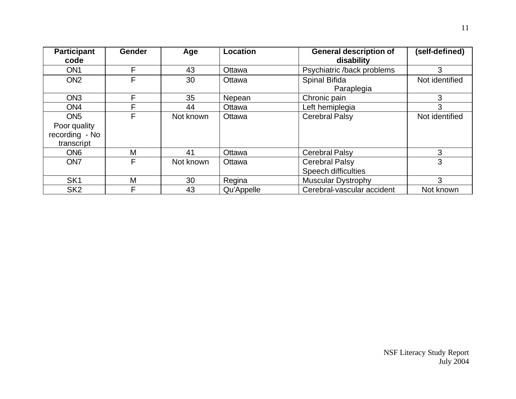| <b>Participant</b><br>code | <b>Gender</b> | Age       | Location   | <b>General description of</b><br>disability | (self-defined) |
|----------------------------|---------------|-----------|------------|---------------------------------------------|----------------|
| ON <sub>1</sub>            | F             | 43        | Ottawa     | Psychiatric /back problems                  | 3              |
| ON <sub>2</sub>            | F             | 30        | Ottawa     | Spinal Bifida                               | Not identified |
|                            |               |           |            | Paraplegia                                  |                |
| ON <sub>3</sub>            | F             | 35        | Nepean     | Chronic pain                                | 3              |
| ON <sub>4</sub>            | F             | 44        | Ottawa     | Left hemiplegia                             | 3              |
| ON <sub>5</sub>            | F             | Not known | Ottawa     | <b>Cerebral Palsy</b>                       | Not identified |
| Poor quality               |               |           |            |                                             |                |
| recording - No             |               |           |            |                                             |                |
| transcript                 |               |           |            |                                             |                |
| ON <sub>6</sub>            | M             | 41        | Ottawa     | <b>Cerebral Palsy</b>                       | 3              |
| ON <sub>7</sub>            | F             | Not known | Ottawa     | <b>Cerebral Palsy</b>                       | 3              |
|                            |               |           |            | <b>Speech difficulties</b>                  |                |
| SK <sub>1</sub>            | M             | 30        | Regina     | <b>Muscular Dystrophy</b>                   | 3              |
| SK <sub>2</sub>            | F.            | 43        | Qu'Appelle | Cerebral-vascular accident                  | Not known      |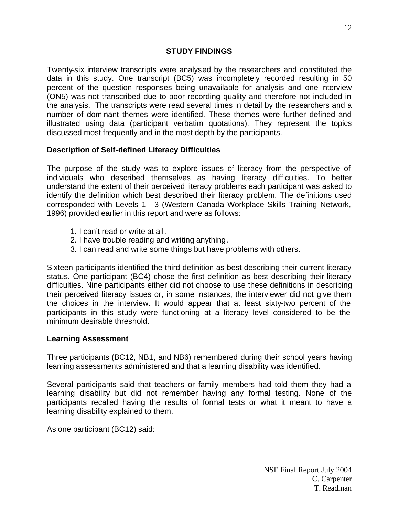#### **STUDY FINDINGS**

<span id="page-12-0"></span>Twenty-six interview transcripts were analysed by the researchers and constituted the data in this study. One transcript (BC5) was incompletely recorded resulting in 50 percent of the question responses being unavailable for analysis and one interview (ON5) was not transcribed due to poor recording quality and therefore not included in the analysis. The transcripts were read several times in detail by the researchers and a number of dominant themes were identified. These themes were further defined and illustrated using data (participant verbatim quotations). They represent the topics discussed most frequently and in the most depth by the participants.

## **Description of Self-defined Literacy Difficulties**

The purpose of the study was to explore issues of literacy from the perspective of individuals who described themselves as having literacy difficulties. To better understand the extent of their perceived literacy problems each participant was asked to identify the definition which best described their literacy problem. The definitions used corresponded with Levels 1 - 3 (Western Canada Workplace Skills Training Network, 1996) provided earlier in this report and were as follows:

- 1. I can't read or write at all.
- 2. I have trouble reading and writing anything.
- 3. I can read and write some things but have problems with others.

Sixteen participants identified the third definition as best describing their current literacy status. One participant (BC4) chose the first definition as best describing their literacy difficulties. Nine participants either did not choose to use these definitions in describing their perceived literacy issues or, in some instances, the interviewer did not give them the choices in the interview. It would appear that at least sixty-two percent of the participants in this study were functioning at a literacy level considered to be the minimum desirable threshold.

## **Learning Assessment**

Three participants (BC12, NB1, and NB6) remembered during their school years having learning assessments administered and that a learning disability was identified.

Several participants said that teachers or family members had told them they had a learning disability but did not remember having any formal testing. None of the participants recalled having the results of formal tests or what it meant to have a learning disability explained to them.

As one participant (BC12) said: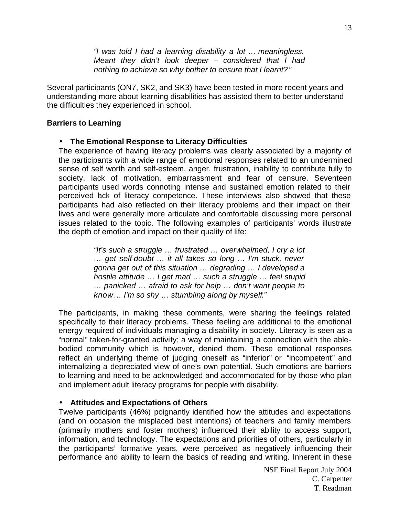*"I was told I had a learning disability a lot … meaningless. Meant they didn't look deeper – considered that I had nothing to achieve so why bother to ensure that I learnt?"*

<span id="page-13-0"></span>Several participants (ON7, SK2, and SK3) have been tested in more recent years and understanding more about learning disabilities has assisted them to better understand the difficulties they experienced in school.

#### **Barriers to Learning**

#### • **The Emotional Response to Literacy Difficulties**

The experience of having literacy problems was clearly associated by a majority of the participants with a wide range of emotional responses related to an undermined sense of self worth and self-esteem, anger, frustration, inability to contribute fully to society, lack of motivation, embarrassment and fear of censure. Seventeen participants used words connoting intense and sustained emotion related to their perceived lack of literacy competence. These interviews also showed that these participants had also reflected on their literacy problems and their impact on their lives and were generally more articulate and comfortable discussing more personal issues related to the topic. The following examples of participants' words illustrate the depth of emotion and impact on their quality of life:

> *"It's such a struggle … frustrated … overwhelmed, I cry a lot … get self-doubt … it all takes so long … I'm stuck, never gonna get out of this situation … degrading … I developed a hostile attitude … I get mad … such a struggle … feel stupid … panicked … afraid to ask for help … don't want people to know… I'm so shy … stumbling along by myself."*

The participants, in making these comments, were sharing the feelings related specifically to their literacy problems. These feeling are additional to the emotional energy required of individuals managing a disability in society. Literacy is seen as a "normal" taken-for-granted activity; a way of maintaining a connection with the ablebodied community which is however, denied them. These emotional responses reflect an underlying theme of judging oneself as "inferior" or "incompetent" and internalizing a depreciated view of one's own potential. Such emotions are barriers to learning and need to be acknowledged and accommodated for by those who plan and implement adult literacy programs for people with disability.

#### • **Attitudes and Expectations of Others**

Twelve participants (46%) poignantly identified how the attitudes and expectations (and on occasion the misplaced best intentions) of teachers and family members (primarily mothers and foster mothers) influenced their ability to access support, information, and technology. The expectations and priorities of others, particularly in the participants' formative years, were perceived as negatively influencing their performance and ability to learn the basics of reading and writing. Inherent in these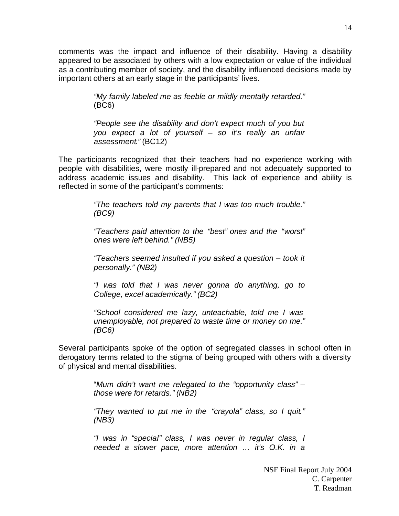comments was the impact and influence of their disability. Having a disability appeared to be associated by others with a low expectation or value of the individual as a contributing member of society, and the disability influenced decisions made by important others at an early stage in the participants' lives.

> *"My family labeled me as feeble or mildly mentally retarded."* (BC6)

> *"People see the disability and don't expect much of you but you expect a lot of yourself – so it's really an unfair assessment."* (BC12)

The participants recognized that their teachers had no experience working with people with disabilities, were mostly ill-prepared and not adequately supported to address academic issues and disability. This lack of experience and ability is reflected in some of the participant's comments:

> *"The teachers told my parents that I was too much trouble." (BC9)*

> *"Teachers paid attention to the "best" ones and the "worst" ones were left behind." (NB5)*

> *"Teachers seemed insulted if you asked a question – took it personally." (NB2)*

> *"I was told that I was never gonna do anything, go to College, excel academically." (BC2)*

> *"School considered me lazy, unteachable, told me I was unemployable, not prepared to waste time or money on me." (BC6)*

Several participants spoke of the option of segregated classes in school often in derogatory terms related to the stigma of being grouped with others with a diversity of physical and mental disabilities.

> "*Mum didn't want me relegated to the "opportunity class" – those were for retards." (NB2)*

> *"They wanted to put me in the "crayola" class, so I quit." (NB3)*

> *"I was in "special" class, I was never in regular class, I needed a slower pace, more attention … it's O.K. in a*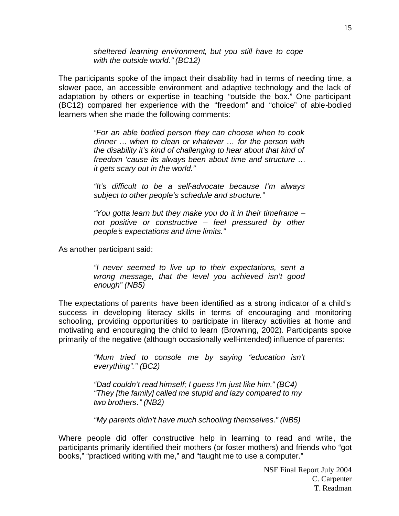*sheltered learning environment, but you still have to cope with the outside world." (BC12)* 

The participants spoke of the impact their disability had in terms of needing time, a slower pace, an accessible environment and adaptive technology and the lack of adaptation by others or expertise in teaching "outside the box." One participant (BC12) compared her experience with the "freedom" and "choice" of able-bodied learners when she made the following comments:

> *"For an able bodied person they can choose when to cook dinner … when to clean or whatever … for the person with the disability it's kind of challenging to hear about that kind of freedom 'cause its always been about time and structure … it gets scary out in the world."*

> *"It's difficult to be a self-advocate because I'm always subject to other people's schedule and structure."*

> *"You gotta learn but they make you do it in their timeframe – not positive or constructive – feel pressured by other people's expectations and time limits."*

As another participant said:

*"I never seemed to live up to their expectations, sent a wrong message, that the level you achieved isn't good enough" (NB5)* 

The expectations of parents have been identified as a strong indicator of a child's success in developing literacy skills in terms of encouraging and monitoring schooling, providing opportunities to participate in literacy activities at home and motivating and encouraging the child to learn (Browning, 2002). Participants spoke primarily of the negative (although occasionally well-intended) influence of parents:

> *"Mum tried to console me by saying "education isn't everything"." (BC2)*

*"Dad couldn't read himself; I guess I'm just like him." (BC4) "They [the family] called me stupid and lazy compared to my two brothers." (NB2)*

*"My parents didn't have much schooling themselves." (NB5)* 

Where people did offer constructive help in learning to read and write, the participants primarily identified their mothers (or foster mothers) and friends who "got books," "practiced writing with me," and "taught me to use a computer."

NSF Final Report July 2004 C. Carpenter T. Readman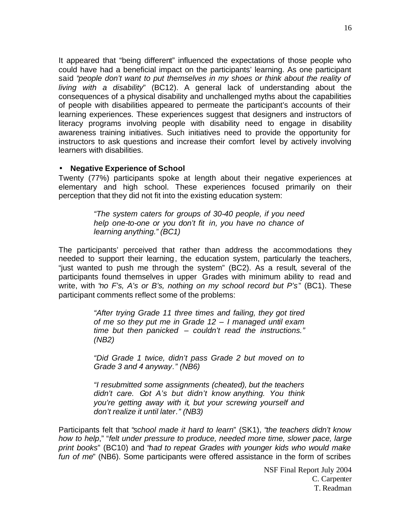<span id="page-16-0"></span>It appeared that "being different" influenced the expectations of those people who could have had a beneficial impact on the participants' learning. As one participant said "*people don't want to put themselves in my shoes or think about the reality of living with a disability*" (BC12). A general lack of understanding about the consequences of a physical disability and unchallenged myths about the capabilities of people with disabilities appeared to permeate the participant's accounts of their learning experiences. These experiences suggest that designers and instructors of literacy programs involving people with disability need to engage in disability awareness training initiatives. Such initiatives need to provide the opportunity for instructors to ask questions and increase their comfort level by actively involving learners with disabilities.

#### • **Negative Experience of School**

Twenty (77%) participants spoke at length about their negative experiences at elementary and high school. These experiences focused primarily on their perception that they did not fit into the existing education system:

> *"The system caters for groups of 30-40 people, if you need help one-to-one or you don't fit in, you have no chance of learning anything." (BC1)*

The participants' perceived that rather than address the accommodations they needed to support their learning, the education system, particularly the teachers, "just wanted to push me through the system" (BC2). As a result, several of the participants found themselves in upper Grades with minimum ability to read and write, with "*no F's, A's or B's, nothing on my school record but P's*" (BC1). These participant comments reflect some of the problems:

> *"After trying Grade 11 three times and failing, they got tired of me so they put me in Grade 12 – I managed until exam time but then panicked – couldn't read the instructions." (NB2)*

> *"Did Grade 1 twice, didn't pass Grade 2 but moved on to Grade 3 and 4 anyway." (NB6)*

> *"I resubmitted some assignments (cheated), but the teachers didn't care. Got A's but didn't know anything. You think you're getting away with it, but your screwing yourself and don't realize it until later." (NB3)*

Participants felt that "*school made it hard to learn*" (SK1), "*the teachers didn't know how to help*," "*felt under pressure to produce, needed more time, slower pace, large print books*" (BC10) and "*had to repeat Grades with younger kids who would make fun of me*" (NB6). Some participants were offered assistance in the form of scribes

16

NSF Final Report July 2004 C. Carpenter T. Readman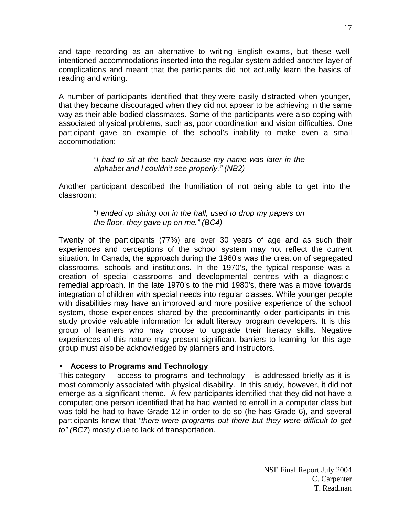<span id="page-17-0"></span>and tape recording as an alternative to writing English exams, but these wellintentioned accommodations inserted into the regular system added another layer of complications and meant that the participants did not actually learn the basics of reading and writing.

A number of participants identified that they were easily distracted when younger, that they became discouraged when they did not appear to be achieving in the same way as their able-bodied classmates. Some of the participants were also coping with associated physical problems, such as, poor coordination and vision difficulties. One participant gave an example of the school's inability to make even a small accommodation:

> *"I had to sit at the back because my name was later in the alphabet and I couldn't see properly." (NB2)*

Another participant described the humiliation of not being able to get into the classroom:

> "*I ended up sitting out in the hall, used to drop my papers on the floor, they gave up on me." (BC4)*

Twenty of the participants (77%) are over 30 years of age and as such their experiences and perceptions of the school system may not reflect the current situation. In Canada, the approach during the 1960's was the creation of segregated classrooms, schools and institutions. In the 1970's, the typical response was a creation of special classrooms and developmental centres with a diagnosticremedial approach. In the late 1970's to the mid 1980's, there was a move towards integration of children with special needs into regular classes. While younger people with disabilities may have an improved and more positive experience of the school system, those experiences shared by the predominantly older participants in this study provide valuable information for adult literacy program developers. It is this group of learners who may choose to upgrade their literacy skills. Negative experiences of this nature may present significant barriers to learning for this age group must also be acknowledged by planners and instructors.

#### • **Access to Programs and Technology**

This category – access to programs and technology - is addressed briefly as it is most commonly associated with physical disability. In this study, however, it did not emerge as a significant theme. A few participants identified that they did not have a computer; one person identified that he had wanted to enroll in a computer class but was told he had to have Grade 12 in order to do so (he has Grade 6), and several participants knew that "*there were programs out there but they were difficult to get to" (BC7*) mostly due to lack of transportation.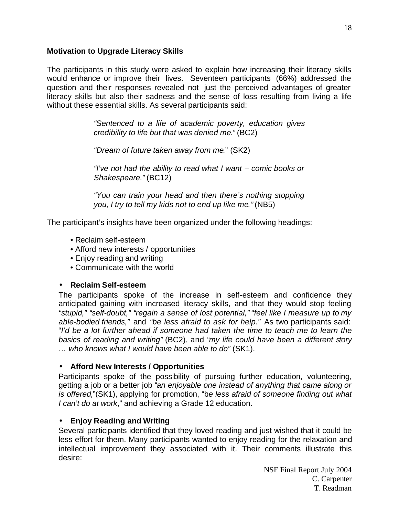## <span id="page-18-0"></span>**Motivation to Upgrade Literacy Skills**

The participants in this study were asked to explain how increasing their literacy skills would enhance or improve their lives. Seventeen participants (66%) addressed the question and their responses revealed not just the perceived advantages of greater literacy skills but also their sadness and the sense of loss resulting from living a life without these essential skills. As several participants said:

> *"Sentenced to a life of academic poverty, education gives credibility to life but that was denied me."* (BC2)

*"Dream of future taken away from me.*" (SK2)

*"I've not had the ability to read what I want – comic books or Shakespeare."* (BC12)

*"You can train your head and then there's nothing stopping you, I try to tell my kids not to end up like me."* (NB5)

The participant's insights have been organized under the following headings:

- Reclaim self-esteem
- Afford new interests / opportunities
- Enjoy reading and writing
- Communicate with the world

#### • **Reclaim Self-esteem**

The participants spoke of the increase in self-esteem and confidence they anticipated gaining with increased literacy skills, and that they would stop feeling *"stupid," "self-doubt," "regain a sense of lost potential," "feel like I measure up to my able-bodied friends,"* and *"be less afraid to ask for help."* As two participants said: "*I'd be a lot further ahead if someone had taken the time to teach me to learn the basics of reading and writing"* (BC2), and "*my life could have been a different story … who knows what I would have been able to do"* (SK1).

#### • **Afford New Interests / Opportunities**

Participants spoke of the possibility of pursuing further education, volunteering, getting a job or a better job "*an enjoyable one instead of anything that came along or is offered,*"(SK1), applying for promotion, "b*e less afraid of someone finding out what I can't do at work*," and achieving a Grade 12 education.

## • **Enjoy Reading and Writing**

Several participants identified that they loved reading and just wished that it could be less effort for them. Many participants wanted to enjoy reading for the relaxation and intellectual improvement they associated with it. Their comments illustrate this desire: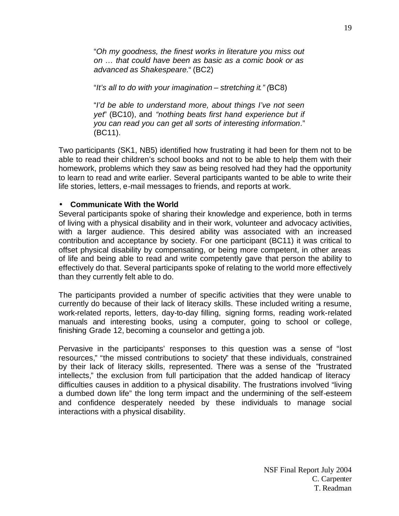<span id="page-19-0"></span>"*Oh my goodness, the finest works in literature you miss out on … that could have been as basic as a comic book or as advanced as Shakespeare.*" (BC2)

"*It's all to do with your imagination – stretching it." (*BC8)

"*I'd be able to understand more, about things I've not seen yet*" (BC10), and *"nothing beats first hand experience but if you can read you can get all sorts of interesting information.*" (BC11).

Two participants (SK1, NB5) identified how frustrating it had been for them not to be able to read their children's school books and not to be able to help them with their homework, problems which they saw as being resolved had they had the opportunity to learn to read and write earlier. Several participants wanted to be able to write their life stories, letters, e-mail messages to friends, and reports at work.

#### • **Communicate With the World**

Several participants spoke of sharing their knowledge and experience, both in terms of living with a physical disability and in their work, volunteer and advocacy activities, with a larger audience. This desired ability was associated with an increased contribution and acceptance by society. For one participant (BC11) it was critical to offset physical disability by compensating, or being more competent, in other areas of life and being able to read and write competently gave that person the ability to effectively do that. Several participants spoke of relating to the world more effectively than they currently felt able to do.

The participants provided a number of specific activities that they were unable to currently do because of their lack of literacy skills. These included writing a resume, work-related reports, letters, day-to-day filling, signing forms, reading work-related manuals and interesting books, using a computer, going to school or college, finishing Grade 12, becoming a counselor and getting a job.

Pervasive in the participants' responses to this question was a sense of "lost resources," "the missed contributions to society" that these individuals, constrained by their lack of literacy skills, represented. There was a sense of the "frustrated intellects," the exclusion from full participation that the added handicap of literacy difficulties causes in addition to a physical disability. The frustrations involved "living a dumbed down life" the long term impact and the undermining of the self-esteem and confidence desperately needed by these individuals to manage social interactions with a physical disability.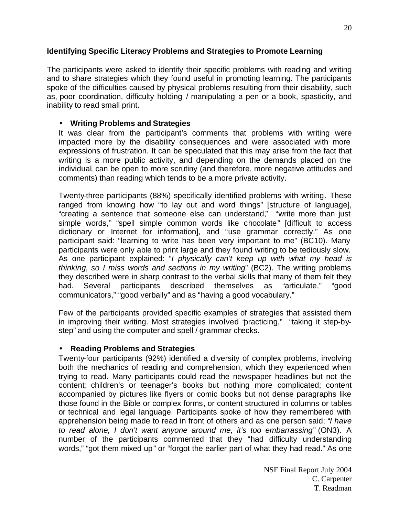## <span id="page-20-0"></span>**Identifying Specific Literacy Problems and Strategies to Promote Learning**

The participants were asked to identify their specific problems with reading and writing and to share strategies which they found useful in promoting learning. The participants spoke of the difficulties caused by physical problems resulting from their disability, such as, poor coordination, difficulty holding / manipulating a pen or a book, spasticity, and inability to read small print.

## • **Writing Problems and Strategies**

It was clear from the participant's comments that problems with writing were impacted more by the disability consequences and were associated with more expressions of frustration. It can be speculated that this may arise from the fact that writing is a more public activity, and depending on the demands placed on the individual, can be open to more scrutiny (and therefore, more negative attitudes and comments) than reading which tends to be a more private activity.

Twenty-three participants (88%) specifically identified problems with writing. These ranged from knowing how "to lay out and word things" [structure of language], "creating a sentence that someone else can understand," "write more than just simple words," "spell simple common words like chocolate" [difficult to access dictionary or Internet for information], and "use grammar correctly." As one participant said: "learning to write has been very important to me" (BC10). Many participants were only able to print large and they found writing to be tediously slow. As one participant explained: "*I physically can't keep up with what my head is thinking, so I miss words and sections in my writing*" (BC2). The writing problems they described were in sharp contrast to the verbal skills that many of them felt they had. Several participants described themselves as "articulate," "good communicators," "good verbally" and as "having a good vocabulary."

Few of the participants provided specific examples of strategies that assisted them in improving their writing. Most strategies involved "practicing," "taking it step-bystep" and using the computer and spell / grammar checks.

#### • **Reading Problems and Strategies**

Twenty-four participants (92%) identified a diversity of complex problems, involving both the mechanics of reading and comprehension, which they experienced when trying to read. Many participants could read the newspaper headlines but not the content; children's or teenager's books but nothing more complicated; content accompanied by pictures like flyers or comic books but not dense paragraphs like those found in the Bible or complex forms, or content structured in columns or tables or technical and legal language. Participants spoke of how they remembered with apprehension being made to read in front of others and as one person said; "*I have to read alone, I don't want anyone around me, it's too embarrassing"* (ON3). A number of the participants commented that they "had difficulty understanding words." "got them mixed up" or "forgot the earlier part of what they had read." As one

NSF Final Report July 2004 C. Carpenter T. Readman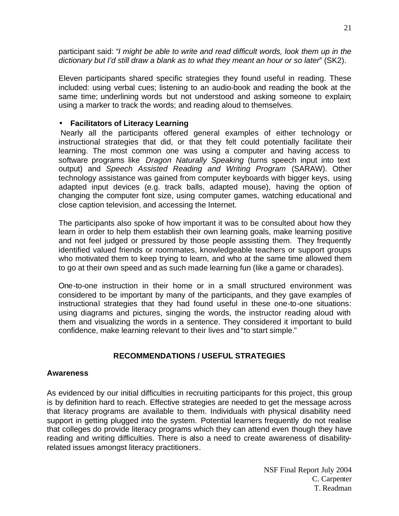<span id="page-21-0"></span>participant said: "*I might be able to write and read difficult words, look them up in the dictionary but I'd still draw a blank as to what they meant an hour or so later*" (SK2).

Eleven participants shared specific strategies they found useful in reading. These included: using verbal cues; listening to an audio-book and reading the book at the same time; underlining words but not understood and asking someone to explain; using a marker to track the words; and reading aloud to themselves.

#### • **Facilitators of Literacy Learning**

 Nearly all the participants offered general examples of either technology or instructional strategies that did, or that they felt could potentially facilitate their learning. The most common one was using a computer and having access to software programs like *Dragon Naturally Speaking* (turns speech input into text output) and *Speech Assisted Reading and Writing Program* (SARAW). Other technology assistance was gained from computer keyboards with bigger keys, using adapted input devices (e.g. track balls, adapted mouse), having the option of changing the computer font size, using computer games, watching educational and close caption television, and accessing the Internet.

The participants also spoke of how important it was to be consulted about how they learn in order to help them establish their own learning goals, make learning positive and not feel judged or pressured by those people assisting them. They frequently identified valued friends or roommates, knowledgeable teachers or support groups who motivated them to keep trying to learn, and who at the same time allowed them to go at their own speed and as such made learning fun (like a game or charades).

One-to-one instruction in their home or in a small structured environment was considered to be important by many of the participants, and they gave examples of instructional strategies that they had found useful in these one-to-one situations: using diagrams and pictures, singing the words, the instructor reading aloud with them and visualizing the words in a sentence. They considered it important to build confidence, make learning relevant to their lives and "to start simple."

## **RECOMMENDATIONS / USEFUL STRATEGIES**

#### **Awareness**

As evidenced by our initial difficulties in recruiting participants for this project, this group is by definition hard to reach. Effective strategies are needed to get the message across that literacy programs are available to them. Individuals with physical disability need support in getting plugged into the system. Potential learners frequently do not realise that colleges do provide literacy programs which they can attend even though they have reading and writing difficulties. There is also a need to create awareness of disabilityrelated issues amongst literacy practitioners.

21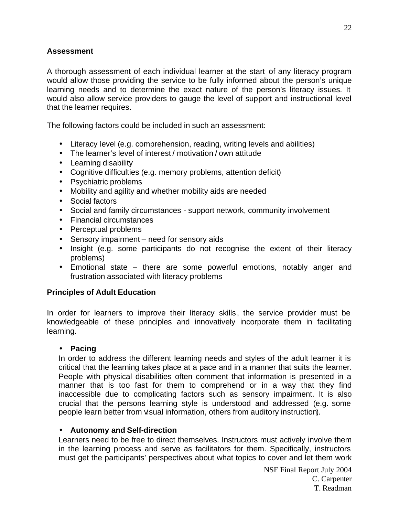## <span id="page-22-0"></span>**Assessment**

A thorough assessment of each individual learner at the start of any literacy program would allow those providing the service to be fully informed about the person's unique learning needs and to determine the exact nature of the person's literacy issues. It would also allow service providers to gauge the level of support and instructional level that the learner requires.

The following factors could be included in such an assessment:

- Literacy level (e.g. comprehension, reading, writing levels and abilities)
- The learner's level of interest / motivation / own attitude
- Learning disability
- Cognitive difficulties (e.g. memory problems, attention deficit)
- Psychiatric problems
- Mobility and agility and whether mobility aids are needed
- Social factors
- Social and family circumstances support network, community involvement
- Financial circumstances
- Perceptual problems
- Sensory impairment need for sensory aids
- Insight (e.g. some participants do not recognise the extent of their literacy problems)
- Emotional state there are some powerful emotions, notably anger and frustration associated with literacy problems

#### **Principles of Adult Education**

In order for learners to improve their literacy skills, the service provider must be knowledgeable of these principles and innovatively incorporate them in facilitating learning.

#### • **Pacing**

In order to address the different learning needs and styles of the adult learner it is critical that the learning takes place at a pace and in a manner that suits the learner. People with physical disabilities often comment that information is presented in a manner that is too fast for them to comprehend or in a way that they find inaccessible due to complicating factors such as sensory impairment. It is also crucial that the persons learning style is understood and addressed (e.g. some people learn better from visual information, others from auditory instruction).

#### • **Autonomy and Self-direction**

Learners need to be free to direct themselves. Instructors must actively involve them in the learning process and serve as facilitators for them. Specifically, instructors must get the participants' perspectives about what topics to cover and let them work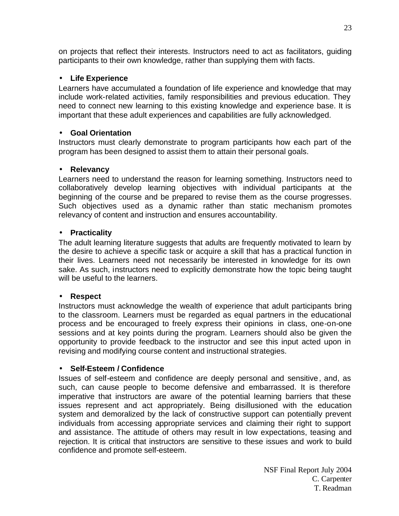<span id="page-23-0"></span>on projects that reflect their interests. Instructors need to act as facilitators, guiding participants to their own knowledge, rather than supplying them with facts.

## • **Life Experience**

Learners have accumulated a foundation of life experience and knowledge that may include work-related activities, family responsibilities and previous education. They need to connect new learning to this existing knowledge and experience base. It is important that these adult experiences and capabilities are fully acknowledged.

## • **Goal Orientation**

Instructors must clearly demonstrate to program participants how each part of the program has been designed to assist them to attain their personal goals.

## • **Relevancy**

Learners need to understand the reason for learning something. Instructors need to collaboratively develop learning objectives with individual participants at the beginning of the course and be prepared to revise them as the course progresses. Such objectives used as a dynamic rather than static mechanism promotes relevancy of content and instruction and ensures accountability.

#### • **Practicality**

The adult learning literature suggests that adults are frequently motivated to learn by the desire to achieve a specific task or acquire a skill that has a practical function in their lives. Learners need not necessarily be interested in knowledge for its own sake. As such, instructors need to explicitly demonstrate how the topic being taught will be useful to the learners.

#### • **Respect**

Instructors must acknowledge the wealth of experience that adult participants bring to the classroom. Learners must be regarded as equal partners in the educational process and be encouraged to freely express their opinions in class, one-on-one sessions and at key points during the program. Learners should also be given the opportunity to provide feedback to the instructor and see this input acted upon in revising and modifying course content and instructional strategies.

#### • **Self-Esteem / Confidence**

Issues of self-esteem and confidence are deeply personal and sensitive, and, as such, can cause people to become defensive and embarrassed. It is therefore imperative that instructors are aware of the potential learning barriers that these issues represent and act appropriately. Being disillusioned with the education system and demoralized by the lack of constructive support can potentially prevent individuals from accessing appropriate services and claiming their right to support and assistance. The attitude of others may result in low expectations, teasing and rejection. It is critical that instructors are sensitive to these issues and work to build confidence and promote self-esteem.

T. Readman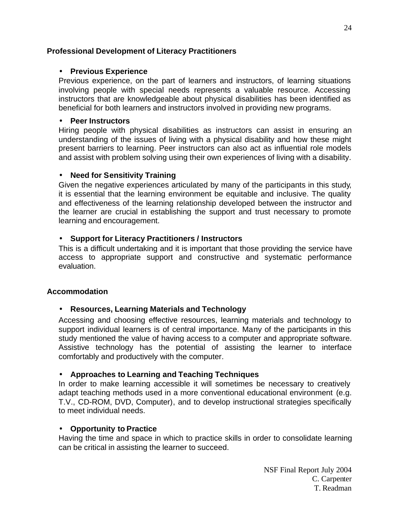## <span id="page-24-0"></span>**Professional Development of Literacy Practitioners**

#### • **Previous Experience**

Previous experience, on the part of learners and instructors, of learning situations involving people with special needs represents a valuable resource. Accessing instructors that are knowledgeable about physical disabilities has been identified as beneficial for both learners and instructors involved in providing new programs.

#### • **Peer Instructors**

Hiring people with physical disabilities as instructors can assist in ensuring an understanding of the issues of living with a physical disability and how these might present barriers to learning. Peer instructors can also act as influential role models and assist with problem solving using their own experiences of living with a disability.

## • **Need for Sensitivity Training**

Given the negative experiences articulated by many of the participants in this study, it is essential that the learning environment be equitable and inclusive. The quality and effectiveness of the learning relationship developed between the instructor and the learner are crucial in establishing the support and trust necessary to promote learning and encouragement.

## • **Support for Literacy Practitioners / Instructors**

This is a difficult undertaking and it is important that those providing the service have access to appropriate support and constructive and systematic performance evaluation.

## **Accommodation**

## • **Resources, Learning Materials and Technology**

Accessing and choosing effective resources, learning materials and technology to support individual learners is of central importance. Many of the participants in this study mentioned the value of having access to a computer and appropriate software. Assistive technology has the potential of assisting the learner to interface comfortably and productively with the computer.

#### • **Approaches to Learning and Teaching Techniques**

In order to make learning accessible it will sometimes be necessary to creatively adapt teaching methods used in a more conventional educational environment (e.g. T.V., CD-ROM, DVD, Computer), and to develop instructional strategies specifically to meet individual needs.

#### • **Opportunity to Practice**

Having the time and space in which to practice skills in order to consolidate learning can be critical in assisting the learner to succeed.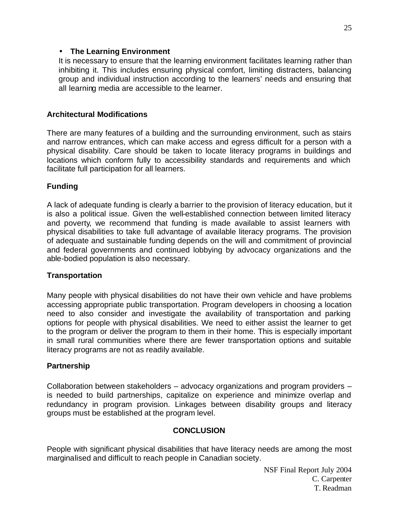#### <span id="page-25-0"></span>• **The Learning Environment**

It is necessary to ensure that the learning environment facilitates learning rather than inhibiting it. This includes ensuring physical comfort, limiting distracters, balancing group and individual instruction according to the learners' needs and ensuring that all learning media are accessible to the learner.

## **Architectural Modifications**

There are many features of a building and the surrounding environment, such as stairs and narrow entrances, which can make access and egress difficult for a person with a physical disability. Care should be taken to locate literacy programs in buildings and locations which conform fully to accessibility standards and requirements and which facilitate full participation for all learners.

## **Funding**

A lack of adequate funding is clearly a barrier to the provision of literacy education, but it is also a political issue. Given the well-established connection between limited literacy and poverty, we recommend that funding is made available to assist learners with physical disabilities to take full advantage of available literacy programs. The provision of adequate and sustainable funding depends on the will and commitment of provincial and federal governments and continued lobbying by advocacy organizations and the able-bodied population is also necessary.

#### **Transportation**

Many people with physical disabilities do not have their own vehicle and have problems accessing appropriate public transportation. Program developers in choosing a location need to also consider and investigate the availability of transportation and parking options for people with physical disabilities. We need to either assist the learner to get to the program or deliver the program to them in their home. This is especially important in small rural communities where there are fewer transportation options and suitable literacy programs are not as readily available.

## **Partnership**

Collaboration between stakeholders – advocacy organizations and program providers – is needed to build partnerships, capitalize on experience and minimize overlap and redundancy in program provision. Linkages between disability groups and literacy groups must be established at the program level.

#### **CONCLUSION**

People with significant physical disabilities that have literacy needs are among the most marginalised and difficult to reach people in Canadian society.

25

NSF Final Report July 2004 C. Carpenter T. Readman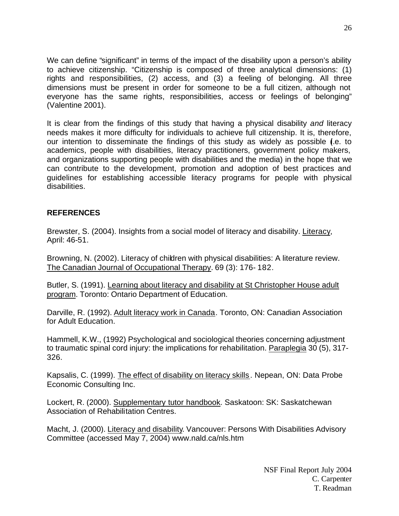<span id="page-26-0"></span>We can define "significant" in terms of the impact of the disability upon a person's ability to achieve citizenship. "Citizenship is composed of three analytical dimensions: (1) rights and responsibilities, (2) access, and (3) a feeling of belonging. All three dimensions must be present in order for someone to be a full citizen, although not everyone has the same rights, responsibilities, access or feelings of belonging" (Valentine 2001).

It is clear from the findings of this study that having a physical disability *and* literacy needs makes it more difficulty for individuals to achieve full citizenship. It is, therefore, our intention to disseminate the findings of this study as widely as possible (i.e. to academics, people with disabilities, literacy practitioners, government policy makers, and organizations supporting people with disabilities and the media) in the hope that we can contribute to the development, promotion and adoption of best practices and guidelines for establishing accessible literacy programs for people with physical disabilities.

## **REFERENCES**

Brewster, S. (2004). Insights from a social model of literacy and disability. Literacy, April: 46-51.

Browning, N. (2002). Literacy of children with physical disabilities: A literature review. The Canadian Journal of Occupational Therapy. 69 (3): 176- 182.

Butler, S. (1991). Learning about literacy and disability at St Christopher House adult program. Toronto: Ontario Department of Education.

Darville, R. (1992). Adult literacy work in Canada. Toronto, ON: Canadian Association for Adult Education.

Hammell, K.W., (1992) Psychological and sociological theories concerning adjustment to traumatic spinal cord injury: the implications for rehabilitation. Paraplegia 30 (5), 317- 326.

Kapsalis, C. (1999). The effect of disability on literacy skills . Nepean, ON: Data Probe Economic Consulting Inc.

Lockert, R. (2000). Supplementary tutor handbook. Saskatoon: SK: Saskatchewan Association of Rehabilitation Centres.

Macht, J. (2000). Literacy and disability. Vancouver: Persons With Disabilities Advisory Committee (accessed May 7, 2004) www.nald.ca/nls.htm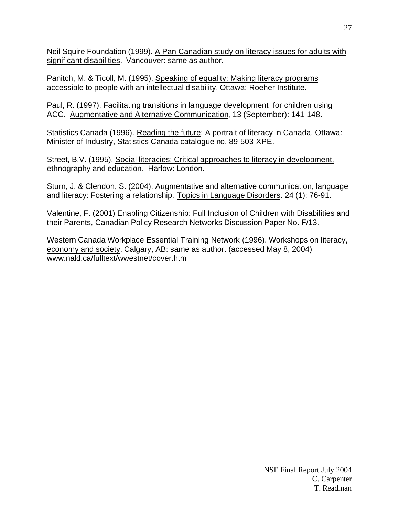Neil Squire Foundation (1999). A Pan Canadian study on literacy issues for adults with significant disabilities. Vancouver: same as author.

Panitch, M. & Ticoll, M. (1995). Speaking of equality: Making literacy programs accessible to people with an intellectual disability. Ottawa: Roeher Institute.

Paul, R. (1997). Facilitating transitions in language development for children using ACC. Augmentative and Alternative Communication, 13 (September): 141-148.

Statistics Canada (1996). Reading the future: A portrait of literacy in Canada. Ottawa: Minister of Industry, Statistics Canada catalogue no. 89-503-XPE.

Street, B.V. (1995). Social literacies: Critical approaches to literacy in development, ethnography and education. Harlow: London.

Sturn, J. & Clendon, S. (2004). Augmentative and alternative communication, language and literacy: Fostering a relationship. Topics in Language Disorders. 24 (1): 76-91.

Valentine, F. (2001) Enabling Citizenship: Full Inclusion of Children with Disabilities and their Parents, Canadian Policy Research Networks Discussion Paper No. F/13.

Western Canada Workplace Essential Training Network (1996). Workshops on literacy, economy and society. Calgary, AB: same as author. (accessed May 8, 2004) www.nald.ca/fulltext/wwestnet/cover.htm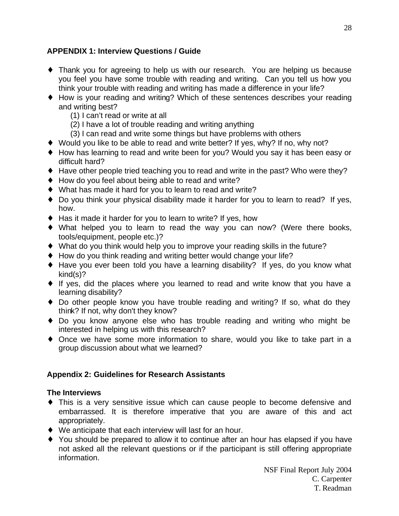## <span id="page-28-0"></span>**APPENDIX 1: Interview Questions / Guide**

- ♦ Thank you for agreeing to help us with our research. You are helping us because you feel you have some trouble with reading and writing. Can you tell us how you think your trouble with reading and writing has made a difference in your life?
- ♦ How is your reading and writing? Which of these sentences describes your reading and writing best?
	- (1) I can't read or write at all
	- (2) I have a lot of trouble reading and writing anything
	- (3) I can read and write some things but have problems with others
- ♦ Would you like to be able to read and write better? If yes, why? If no, why not?
- ♦ How has learning to read and write been for you? Would you say it has been easy or difficult hard?
- ♦ Have other people tried teaching you to read and write in the past? Who were they?
- ♦ How do you feel about being able to read and write?
- ♦ What has made it hard for you to learn to read and write?
- ♦ Do you think your physical disability made it harder for you to learn to read? If yes, how.
- ♦ Has it made it harder for you to learn to write? If yes, how
- ♦ What helped you to learn to read the way you can now? (Were there books, tools/equipment, people etc.)?
- ♦ What do you think would help you to improve your reading skills in the future?
- ♦ How do you think reading and writing better would change your life?
- ♦ Have you ever been told you have a learning disability? If yes, do you know what kind(s)?
- ♦ If yes, did the places where you learned to read and write know that you have a learning disability?
- ♦ Do other people know you have trouble reading and writing? If so, what do they think? If not, why don't they know?
- ♦ Do you know anyone else who has trouble reading and writing who might be interested in helping us with this research?
- ♦ Once we have some more information to share, would you like to take part in a group discussion about what we learned?

## **Appendix 2: Guidelines for Research Assistants**

## **The Interviews**

- ♦ This is a very sensitive issue which can cause people to become defensive and embarrassed. It is therefore imperative that you are aware of this and act appropriately.
- ♦ We anticipate that each interview will last for an hour.
- ♦ You should be prepared to allow it to continue after an hour has elapsed if you have not asked all the relevant questions or if the participant is still offering appropriate information.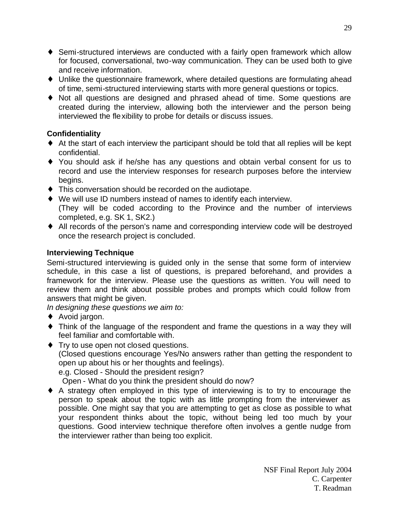- ♦ Semi-structured interviews are conducted with a fairly open framework which allow for focused, conversational, two-way communication. They can be used both to give and receive information.
- ♦ Unlike the questionnaire framework, where detailed questions are formulating ahead of time, semi-structured interviewing starts with more general questions or topics.
- ♦ Not all questions are designed and phrased ahead of time. Some questions are created during the interview, allowing both the interviewer and the person being interviewed the flexibility to probe for details or discuss issues.

## **Confidentiality**

- ♦ At the start of each interview the participant should be told that all replies will be kept confidential.
- ♦ You should ask if he/she has any questions and obtain verbal consent for us to record and use the interview responses for research purposes before the interview begins.
- ♦ This conversation should be recorded on the audiotape.
- ♦ We will use ID numbers instead of names to identify each interview. (They will be coded according to the Province and the number of interviews completed, e.g. SK 1, SK2.)
- ♦ All records of the person's name and corresponding interview code will be destroyed once the research project is concluded.

## **Interviewing Technique**

Semi-structured interviewing is guided only in the sense that some form of interview schedule, in this case a list of questions, is prepared beforehand, and provides a framework for the interview. Please use the questions as written. You will need to review them and think about possible probes and prompts which could follow from answers that might be given.

*In designing these questions we aim to:* 

- ♦ Avoid jargon.
- ♦ Think of the language of the respondent and frame the questions in a way they will feel familiar and comfortable with.
- ♦ Try to use open not closed questions. (Closed questions encourage Yes/No answers rather than getting the respondent to open up about his or her thoughts and feelings). e.g. Closed - Should the president resign?

Open - What do you think the president should do now?

♦ A strategy often employed in this type of interviewing is to try to encourage the person to speak about the topic with as little prompting from the interviewer as possible. One might say that you are attempting to get as close as possible to what your respondent thinks about the topic, without being led too much by your questions. Good interview technique therefore often involves a gentle nudge from the interviewer rather than being too explicit.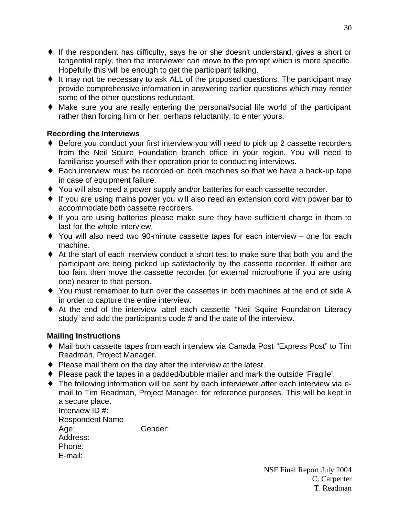- ♦ If the respondent has difficulty, says he or she doesn't understand, gives a short or tangential reply, then the interviewer can move to the prompt which is more specific. Hopefully this will be enough to get the participant talking.
- ♦ It may not be necessary to ask ALL of the proposed questions. The participant may provide comprehensive information in answering earlier questions which may render some of the other questions redundant.
- ♦ Make sure you are really entering the personal/social life world of the participant rather than forcing him or her, perhaps reluctantly, to enter yours.

## **Recording the Interviews**

- ♦ Before you conduct your first interview you will need to pick up 2 cassette recorders from the Neil Squire Foundation branch office in your region. You will need to familiarise yourself with their operation prior to conducting interviews.
- ♦ Each interview must be recorded on both machines so that we have a back-up tape in case of equipment failure.
- ♦ You will also need a power supply and/or batteries for each cassette recorder.
- ♦ If you are using mains power you will also need an extension cord with power bar to accommodate both cassette recorders.
- ♦ If you are using batteries please make sure they have sufficient charge in them to last for the whole interview.
- ♦ You will also need two 90-minute cassette tapes for each interview one for each machine.
- ♦ At the start of each interview conduct a short test to make sure that both you and the participant are being picked up satisfactorily by the cassette recorder. If either are too faint then move the cassette recorder (or external microphone if you are using one) nearer to that person.
- ♦ You must remember to turn over the cassettes in both machines at the end of side A in order to capture the entire interview.
- ♦ At the end of the interview label each cassette "Neil Squire Foundation Literacy study" and add the participant's code # and the date of the interview.

## **Mailing Instructions**

- ♦ Mail both cassette tapes from each interview via Canada Post "Express Post" to Tim Readman, Project Manager.
- ♦ Please mail them on the day after the interview at the latest.
- ♦ Please pack the tapes in a padded/bubble mailer and mark the outside 'Fragile'.
- ♦ The following information will be sent by each interviewer after each interview via email to Tim Readman, Project Manager, for reference purposes. This will be kept in a secure place.

| Interview ID #:        |         |
|------------------------|---------|
| <b>Respondent Name</b> |         |
| Age:                   | Gender: |
| Address:               |         |
| Phone:                 |         |
| E-mail:                |         |

30